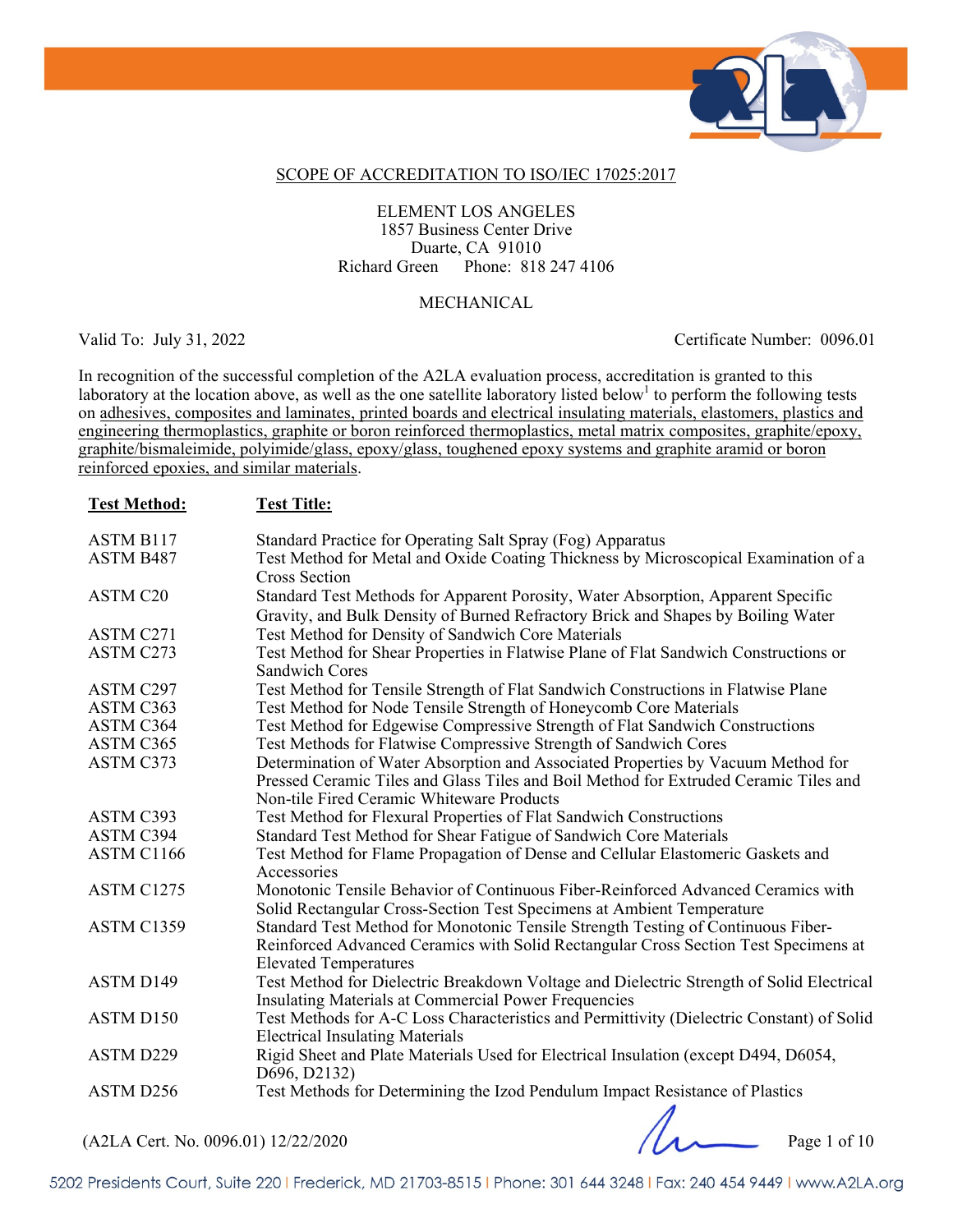

#### SCOPE OF ACCREDITATION TO ISO/IEC 17025:2017

#### ELEMENT LOS ANGELES 1857 Business Center Drive Duarte, CA 91010 Richard Green Phone: 818 247 4106

#### MECHANICAL

Valid To: July 31, 2022 Certificate Number: 0096.01

In recognition of the successful completion of the A2LA evaluation process, accreditation is granted to this laboratory at the location above, as well as the one satellite laboratory listed below<sup>1</sup> to perform the following tests on adhesives, composites and laminates, printed boards and electrical insulating materials, elastomers, plastics and engineering thermoplastics, graphite or boron reinforced thermoplastics, metal matrix composites, graphite/epoxy, graphite/bismaleimide, polyimide/glass, epoxy/glass, toughened epoxy systems and graphite aramid or boron reinforced epoxies, and similar materials.

| <b>Test Method:</b> | <b>Test Title:</b>                                                                                                                                                                                      |
|---------------------|---------------------------------------------------------------------------------------------------------------------------------------------------------------------------------------------------------|
| <b>ASTM B117</b>    | Standard Practice for Operating Salt Spray (Fog) Apparatus                                                                                                                                              |
| ASTM B487           | Test Method for Metal and Oxide Coating Thickness by Microscopical Examination of a<br>Cross Section                                                                                                    |
| ASTM C20            | Standard Test Methods for Apparent Porosity, Water Absorption, Apparent Specific<br>Gravity, and Bulk Density of Burned Refractory Brick and Shapes by Boiling Water                                    |
| ASTM C271           | Test Method for Density of Sandwich Core Materials                                                                                                                                                      |
| ASTM C273           | Test Method for Shear Properties in Flatwise Plane of Flat Sandwich Constructions or<br><b>Sandwich Cores</b>                                                                                           |
| ASTM C297           | Test Method for Tensile Strength of Flat Sandwich Constructions in Flatwise Plane                                                                                                                       |
| ASTM C363           | Test Method for Node Tensile Strength of Honeycomb Core Materials                                                                                                                                       |
| ASTM C364           | Test Method for Edgewise Compressive Strength of Flat Sandwich Constructions                                                                                                                            |
| ASTM C365           | Test Methods for Flatwise Compressive Strength of Sandwich Cores                                                                                                                                        |
| ASTM C373           | Determination of Water Absorption and Associated Properties by Vacuum Method for                                                                                                                        |
|                     | Pressed Ceramic Tiles and Glass Tiles and Boil Method for Extruded Ceramic Tiles and<br>Non-tile Fired Ceramic Whiteware Products                                                                       |
| ASTM C393           | Test Method for Flexural Properties of Flat Sandwich Constructions                                                                                                                                      |
| ASTM C394           | Standard Test Method for Shear Fatigue of Sandwich Core Materials                                                                                                                                       |
| ASTM C1166          | Test Method for Flame Propagation of Dense and Cellular Elastomeric Gaskets and<br>Accessories                                                                                                          |
| ASTM C1275          | Monotonic Tensile Behavior of Continuous Fiber-Reinforced Advanced Ceramics with<br>Solid Rectangular Cross-Section Test Specimens at Ambient Temperature                                               |
| ASTM C1359          | Standard Test Method for Monotonic Tensile Strength Testing of Continuous Fiber-<br>Reinforced Advanced Ceramics with Solid Rectangular Cross Section Test Specimens at<br><b>Elevated Temperatures</b> |
| ASTM D149           | Test Method for Dielectric Breakdown Voltage and Dielectric Strength of Solid Electrical<br><b>Insulating Materials at Commercial Power Frequencies</b>                                                 |
| ASTM D150           | Test Methods for A-C Loss Characteristics and Permittivity (Dielectric Constant) of Solid<br><b>Electrical Insulating Materials</b>                                                                     |
| ASTM D229           | Rigid Sheet and Plate Materials Used for Electrical Insulation (except D494, D6054,<br>D696, D2132)                                                                                                     |
| ASTM D256           | Test Methods for Determining the Izod Pendulum Impact Resistance of Plastics                                                                                                                            |

(A2LA Cert. No. 0096.01) 12/22/2020 Page 1 of 10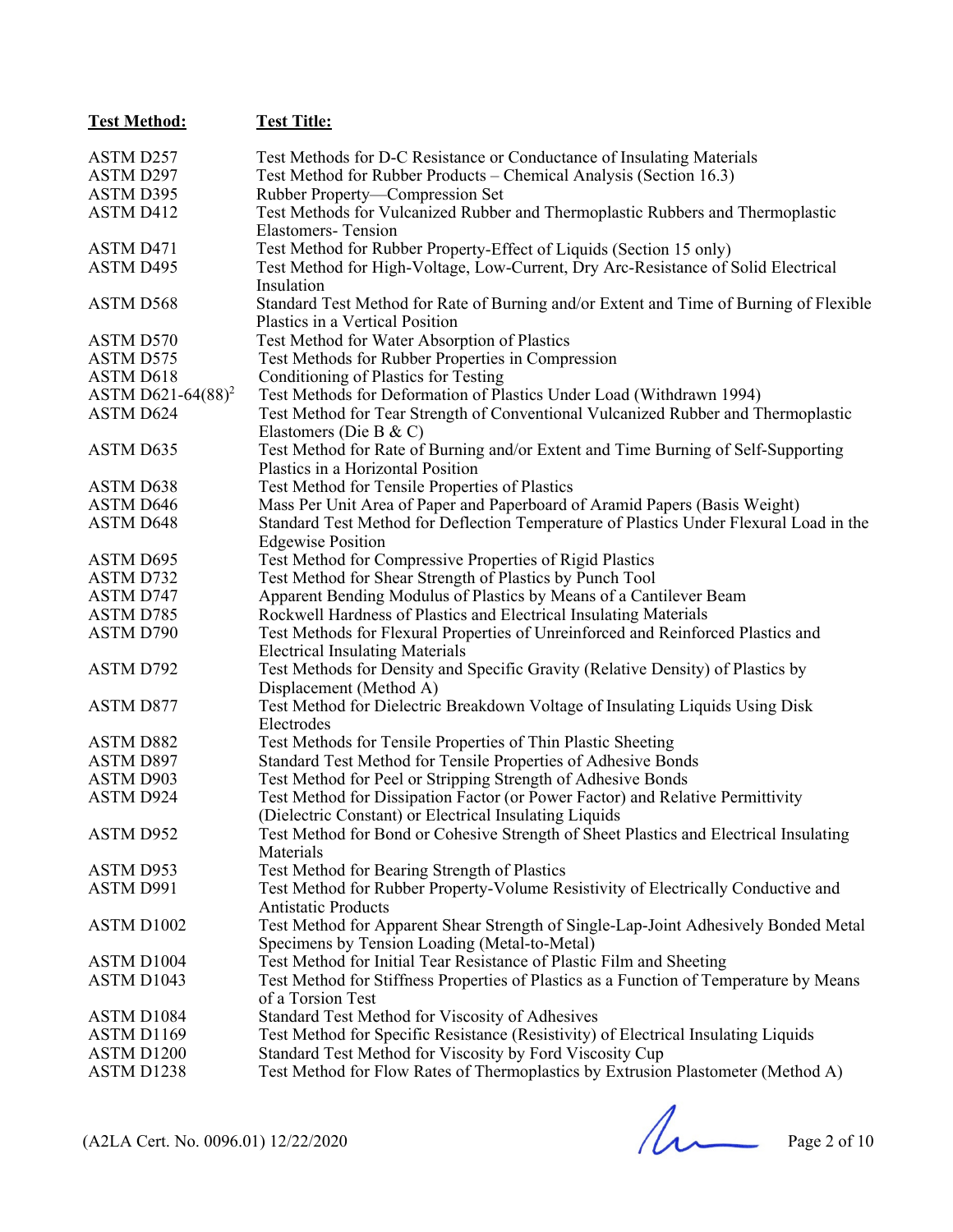| <b>Test Method:</b>           | <b>Test Title:</b>                                                                                                        |
|-------------------------------|---------------------------------------------------------------------------------------------------------------------------|
| ASTM D257                     | Test Methods for D-C Resistance or Conductance of Insulating Materials                                                    |
| ASTM D297                     | Test Method for Rubber Products – Chemical Analysis (Section 16.3)                                                        |
| ASTM D395                     | Rubber Property-Compression Set                                                                                           |
| ASTM D412                     | Test Methods for Vulcanized Rubber and Thermoplastic Rubbers and Thermoplastic                                            |
|                               | <b>Elastomers-Tension</b>                                                                                                 |
| ASTM D471                     | Test Method for Rubber Property-Effect of Liquids (Section 15 only)                                                       |
| ASTM D495                     | Test Method for High-Voltage, Low-Current, Dry Arc-Resistance of Solid Electrical                                         |
|                               | Insulation                                                                                                                |
| ASTM D568                     | Standard Test Method for Rate of Burning and/or Extent and Time of Burning of Flexible<br>Plastics in a Vertical Position |
| ASTM D570                     | Test Method for Water Absorption of Plastics                                                                              |
| <b>ASTM D575</b>              | Test Methods for Rubber Properties in Compression                                                                         |
| ASTM D618                     | Conditioning of Plastics for Testing                                                                                      |
| ASTM D621-64(88) <sup>2</sup> | Test Methods for Deformation of Plastics Under Load (Withdrawn 1994)                                                      |
| ASTM D624                     | Test Method for Tear Strength of Conventional Vulcanized Rubber and Thermoplastic                                         |
|                               | Elastomers (Die B & C)                                                                                                    |
| ASTM D635                     | Test Method for Rate of Burning and/or Extent and Time Burning of Self-Supporting                                         |
|                               | Plastics in a Horizontal Position                                                                                         |
| ASTM D638                     | Test Method for Tensile Properties of Plastics                                                                            |
| ASTM D646                     | Mass Per Unit Area of Paper and Paperboard of Aramid Papers (Basis Weight)                                                |
| <b>ASTM D648</b>              | Standard Test Method for Deflection Temperature of Plastics Under Flexural Load in the                                    |
|                               | <b>Edgewise Position</b>                                                                                                  |
| ASTM D695                     | Test Method for Compressive Properties of Rigid Plastics                                                                  |
| ASTM D732                     | Test Method for Shear Strength of Plastics by Punch Tool                                                                  |
| ASTM D747                     | Apparent Bending Modulus of Plastics by Means of a Cantilever Beam                                                        |
| ASTM D785                     | Rockwell Hardness of Plastics and Electrical Insulating Materials                                                         |
| ASTM D790                     | Test Methods for Flexural Properties of Unreinforced and Reinforced Plastics and                                          |
|                               | <b>Electrical Insulating Materials</b>                                                                                    |
| ASTM D792                     | Test Methods for Density and Specific Gravity (Relative Density) of Plastics by<br>Displacement (Method A)                |
| <b>ASTM D877</b>              | Test Method for Dielectric Breakdown Voltage of Insulating Liquids Using Disk                                             |
|                               | Electrodes                                                                                                                |
| <b>ASTM D882</b>              | Test Methods for Tensile Properties of Thin Plastic Sheeting                                                              |
| <b>ASTM D897</b>              | Standard Test Method for Tensile Properties of Adhesive Bonds                                                             |
| ASTM D903                     | Test Method for Peel or Stripping Strength of Adhesive Bonds                                                              |
| ASTM D924                     | Test Method for Dissipation Factor (or Power Factor) and Relative Permittivity                                            |
|                               | (Dielectric Constant) or Electrical Insulating Liquids                                                                    |
| ASTM D952                     | Test Method for Bond or Cohesive Strength of Sheet Plastics and Electrical Insulating                                     |
|                               | Materials                                                                                                                 |
| ASTM D953                     | Test Method for Bearing Strength of Plastics                                                                              |
| ASTM D991                     | Test Method for Rubber Property-Volume Resistivity of Electrically Conductive and                                         |
|                               | <b>Antistatic Products</b>                                                                                                |
| ASTM D1002                    | Test Method for Apparent Shear Strength of Single-Lap-Joint Adhesively Bonded Metal                                       |
| ASTM D1004                    | Specimens by Tension Loading (Metal-to-Metal)<br>Test Method for Initial Tear Resistance of Plastic Film and Sheeting     |
| ASTM D1043                    | Test Method for Stiffness Properties of Plastics as a Function of Temperature by Means                                    |
|                               | of a Torsion Test                                                                                                         |
| ASTM D1084                    | Standard Test Method for Viscosity of Adhesives                                                                           |
| ASTM D1169                    | Test Method for Specific Resistance (Resistivity) of Electrical Insulating Liquids                                        |
| ASTM D1200                    | Standard Test Method for Viscosity by Ford Viscosity Cup                                                                  |
| ASTM D1238                    | Test Method for Flow Rates of Thermoplastics by Extrusion Plastometer (Method A)                                          |
|                               |                                                                                                                           |

 $(A2LA$  Cert. No. 0096.01) 12/22/2020 Page 2 of 10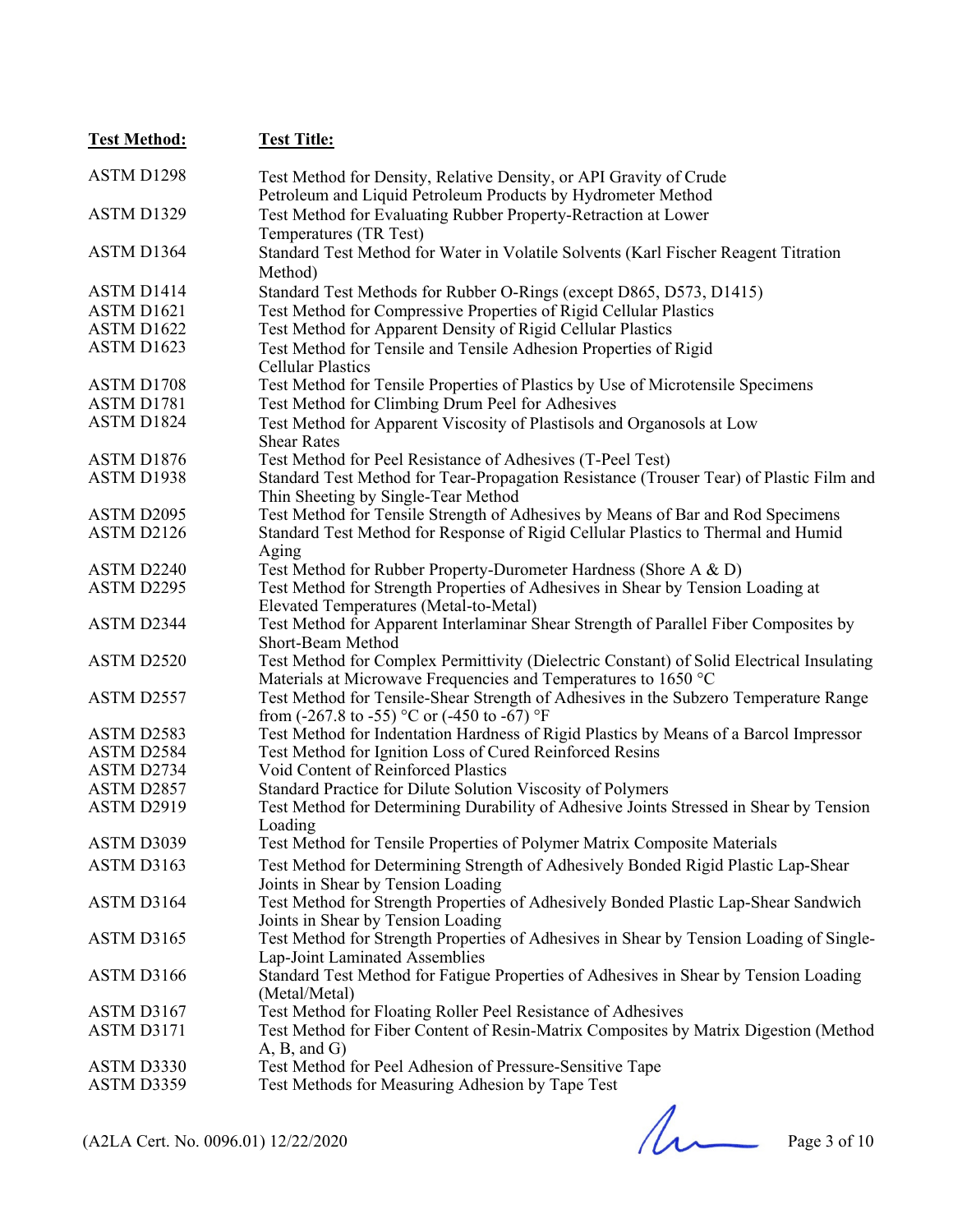| <b>Test Method:</b>                 | <b>Test Title:</b>                                                                        |
|-------------------------------------|-------------------------------------------------------------------------------------------|
| ASTM D1298                          | Test Method for Density, Relative Density, or API Gravity of Crude                        |
|                                     | Petroleum and Liquid Petroleum Products by Hydrometer Method                              |
| ASTM D1329                          | Test Method for Evaluating Rubber Property-Retraction at Lower                            |
|                                     | Temperatures (TR Test)                                                                    |
| ASTM D1364                          | Standard Test Method for Water in Volatile Solvents (Karl Fischer Reagent Titration       |
|                                     | Method)                                                                                   |
| ASTM D1414                          | Standard Test Methods for Rubber O-Rings (except D865, D573, D1415)                       |
| ASTM D1621                          | Test Method for Compressive Properties of Rigid Cellular Plastics                         |
| ASTM D1622                          | Test Method for Apparent Density of Rigid Cellular Plastics                               |
| ASTM D1623                          | Test Method for Tensile and Tensile Adhesion Properties of Rigid                          |
|                                     | <b>Cellular Plastics</b>                                                                  |
| ASTM D1708                          | Test Method for Tensile Properties of Plastics by Use of Microtensile Specimens           |
| ASTM D1781                          | Test Method for Climbing Drum Peel for Adhesives                                          |
| ASTM D1824                          | Test Method for Apparent Viscosity of Plastisols and Organosols at Low                    |
|                                     | <b>Shear Rates</b>                                                                        |
| ASTM D1876                          | Test Method for Peel Resistance of Adhesives (T-Peel Test)                                |
| ASTM D1938                          | Standard Test Method for Tear-Propagation Resistance (Trouser Tear) of Plastic Film and   |
|                                     | Thin Sheeting by Single-Tear Method                                                       |
| ASTM D2095                          | Test Method for Tensile Strength of Adhesives by Means of Bar and Rod Specimens           |
| ASTM D2126                          | Standard Test Method for Response of Rigid Cellular Plastics to Thermal and Humid         |
|                                     | Aging                                                                                     |
| ASTM D2240                          | Test Method for Rubber Property-Durometer Hardness (Shore A & D)                          |
| ASTM D2295                          | Test Method for Strength Properties of Adhesives in Shear by Tension Loading at           |
|                                     | Elevated Temperatures (Metal-to-Metal)                                                    |
| ASTM D2344                          | Test Method for Apparent Interlaminar Shear Strength of Parallel Fiber Composites by      |
|                                     | Short-Beam Method                                                                         |
| ASTM D2520                          | Test Method for Complex Permittivity (Dielectric Constant) of Solid Electrical Insulating |
|                                     | Materials at Microwave Frequencies and Temperatures to 1650 °C                            |
| ASTM D2557                          | Test Method for Tensile-Shear Strength of Adhesives in the Subzero Temperature Range      |
|                                     | from (-267.8 to -55) °C or (-450 to -67) °F                                               |
| ASTM D2583                          | Test Method for Indentation Hardness of Rigid Plastics by Means of a Barcol Impressor     |
| ASTM D2584                          | Test Method for Ignition Loss of Cured Reinforced Resins                                  |
| ASTM D2734                          | Void Content of Reinforced Plastics                                                       |
| ASTM D2857                          | Standard Practice for Dilute Solution Viscosity of Polymers                               |
| ASTM D2919                          | Test Method for Determining Durability of Adhesive Joints Stressed in Shear by Tension    |
|                                     | Loading                                                                                   |
| ASTM D3039                          | Test Method for Tensile Properties of Polymer Matrix Composite Materials                  |
| ASTM D3163                          | Test Method for Determining Strength of Adhesively Bonded Rigid Plastic Lap-Shear         |
|                                     | Joints in Shear by Tension Loading                                                        |
| ASTM D3164                          | Test Method for Strength Properties of Adhesively Bonded Plastic Lap-Shear Sandwich       |
|                                     | Joints in Shear by Tension Loading                                                        |
| ASTM D3165                          | Test Method for Strength Properties of Adhesives in Shear by Tension Loading of Single-   |
|                                     | Lap-Joint Laminated Assemblies                                                            |
| ASTM D3166                          | Standard Test Method for Fatigue Properties of Adhesives in Shear by Tension Loading      |
| ASTM D3167                          | (Metal/Metal)<br>Test Method for Floating Roller Peel Resistance of Adhesives             |
| ASTM D3171                          | Test Method for Fiber Content of Resin-Matrix Composites by Matrix Digestion (Method      |
|                                     | A, B, and G                                                                               |
| ASTM D3330                          | Test Method for Peel Adhesion of Pressure-Sensitive Tape                                  |
| ASTM D3359                          | Test Methods for Measuring Adhesion by Tape Test                                          |
|                                     |                                                                                           |
|                                     |                                                                                           |
| (A2LA Cert. No. 0096.01) 12/22/2020 | Page 3 of 10                                                                              |
|                                     |                                                                                           |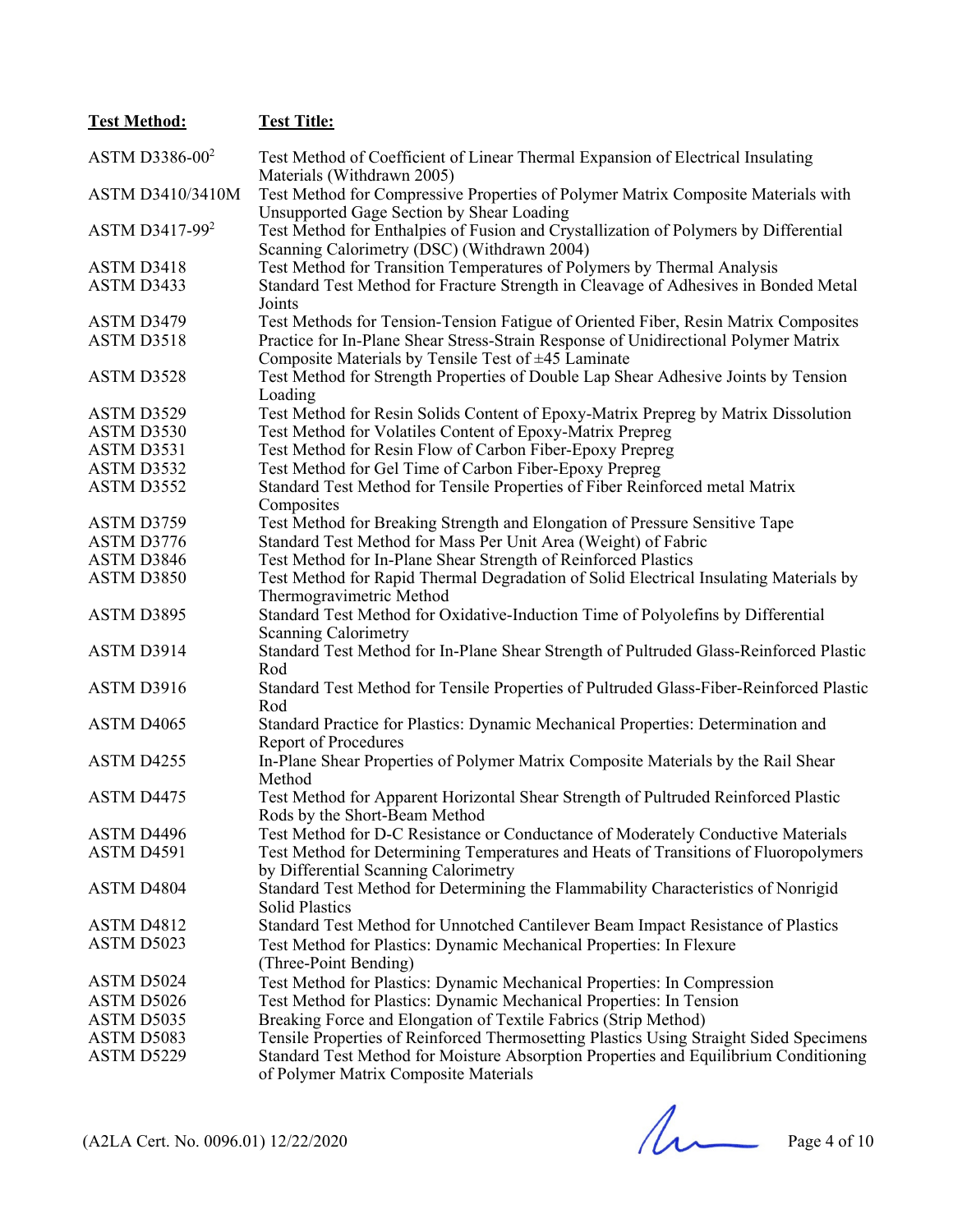| <b>Test Method:</b>        | <b>Test Title:</b>                                                                                                                         |
|----------------------------|--------------------------------------------------------------------------------------------------------------------------------------------|
| ASTM D3386-00 <sup>2</sup> | Test Method of Coefficient of Linear Thermal Expansion of Electrical Insulating<br>Materials (Withdrawn 2005)                              |
| ASTM D3410/3410M           | Test Method for Compressive Properties of Polymer Matrix Composite Materials with<br>Unsupported Gage Section by Shear Loading             |
| ASTM D3417-99 <sup>2</sup> | Test Method for Enthalpies of Fusion and Crystallization of Polymers by Differential<br>Scanning Calorimetry (DSC) (Withdrawn 2004)        |
| ASTM D3418                 | Test Method for Transition Temperatures of Polymers by Thermal Analysis                                                                    |
| ASTM D3433                 | Standard Test Method for Fracture Strength in Cleavage of Adhesives in Bonded Metal<br>Joints                                              |
| ASTM D3479                 | Test Methods for Tension-Tension Fatigue of Oriented Fiber, Resin Matrix Composites                                                        |
| ASTM D3518                 | Practice for In-Plane Shear Stress-Strain Response of Unidirectional Polymer Matrix<br>Composite Materials by Tensile Test of ±45 Laminate |
| ASTM D3528                 | Test Method for Strength Properties of Double Lap Shear Adhesive Joints by Tension<br>Loading                                              |
| ASTM D3529                 | Test Method for Resin Solids Content of Epoxy-Matrix Prepreg by Matrix Dissolution                                                         |
| ASTM D3530                 | Test Method for Volatiles Content of Epoxy-Matrix Prepreg                                                                                  |
| ASTM D3531                 | Test Method for Resin Flow of Carbon Fiber-Epoxy Prepreg                                                                                   |
| ASTM D3532                 | Test Method for Gel Time of Carbon Fiber-Epoxy Prepreg                                                                                     |
| ASTM D3552                 | Standard Test Method for Tensile Properties of Fiber Reinforced metal Matrix<br>Composites                                                 |
| ASTM D3759                 | Test Method for Breaking Strength and Elongation of Pressure Sensitive Tape                                                                |
| ASTM D3776                 | Standard Test Method for Mass Per Unit Area (Weight) of Fabric                                                                             |
| ASTM D3846                 | Test Method for In-Plane Shear Strength of Reinforced Plastics                                                                             |
| ASTM D3850                 | Test Method for Rapid Thermal Degradation of Solid Electrical Insulating Materials by<br>Thermogravimetric Method                          |
| ASTM D3895                 | Standard Test Method for Oxidative-Induction Time of Polyolefins by Differential<br><b>Scanning Calorimetry</b>                            |
| ASTM D3914                 | Standard Test Method for In-Plane Shear Strength of Pultruded Glass-Reinforced Plastic<br>Rod                                              |
| ASTM D3916                 | Standard Test Method for Tensile Properties of Pultruded Glass-Fiber-Reinforced Plastic<br>Rod                                             |
| ASTM D4065                 | Standard Practice for Plastics: Dynamic Mechanical Properties: Determination and<br><b>Report of Procedures</b>                            |
| ASTM D4255                 | In-Plane Shear Properties of Polymer Matrix Composite Materials by the Rail Shear<br>Method                                                |
| ASTM D4475                 | Test Method for Apparent Horizontal Shear Strength of Pultruded Reinforced Plastic<br>Rods by the Short-Beam Method                        |
| ASTM D4496                 | Test Method for D-C Resistance or Conductance of Moderately Conductive Materials                                                           |
| ASTM D4591                 | Test Method for Determining Temperatures and Heats of Transitions of Fluoropolymers<br>by Differential Scanning Calorimetry                |
| ASTM D4804                 | Standard Test Method for Determining the Flammability Characteristics of Nonrigid<br><b>Solid Plastics</b>                                 |
| ASTM D4812                 | Standard Test Method for Unnotched Cantilever Beam Impact Resistance of Plastics                                                           |
| ASTM D5023                 | Test Method for Plastics: Dynamic Mechanical Properties: In Flexure<br>(Three-Point Bending)                                               |
| ASTM D5024                 | Test Method for Plastics: Dynamic Mechanical Properties: In Compression                                                                    |
| ASTM D5026                 | Test Method for Plastics: Dynamic Mechanical Properties: In Tension                                                                        |
| ASTM D5035                 | Breaking Force and Elongation of Textile Fabrics (Strip Method)                                                                            |
| ASTM D5083                 | Tensile Properties of Reinforced Thermosetting Plastics Using Straight Sided Specimens                                                     |
| ASTM D5229                 | Standard Test Method for Moisture Absorption Properties and Equilibrium Conditioning<br>of Polymer Matrix Composite Materials              |

 $(A2LA$  Cert. No. 0096.01) 12/22/2020 Page 4 of 10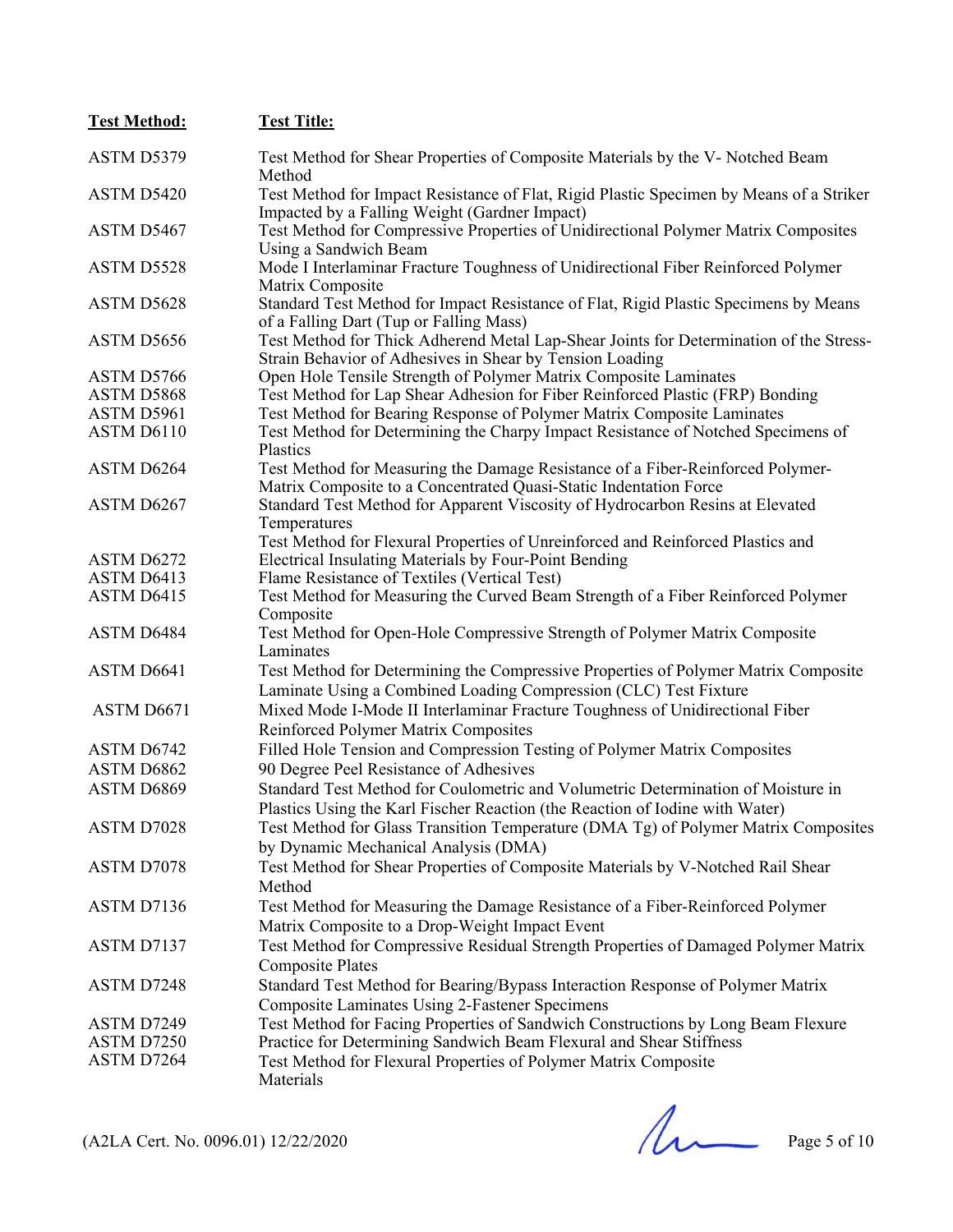| <b>Test Method:</b> | <b>Test Title:</b>                                                                                                                                                               |
|---------------------|----------------------------------------------------------------------------------------------------------------------------------------------------------------------------------|
| ASTM D5379          | Test Method for Shear Properties of Composite Materials by the V- Notched Beam<br>Method                                                                                         |
| ASTM D5420          | Test Method for Impact Resistance of Flat, Rigid Plastic Specimen by Means of a Striker<br>Impacted by a Falling Weight (Gardner Impact)                                         |
| ASTM D5467          | Test Method for Compressive Properties of Unidirectional Polymer Matrix Composites<br>Using a Sandwich Beam                                                                      |
| ASTM D5528          | Mode I Interlaminar Fracture Toughness of Unidirectional Fiber Reinforced Polymer<br>Matrix Composite                                                                            |
| ASTM D5628          | Standard Test Method for Impact Resistance of Flat, Rigid Plastic Specimens by Means<br>of a Falling Dart (Tup or Falling Mass)                                                  |
| ASTM D5656          | Test Method for Thick Adherend Metal Lap-Shear Joints for Determination of the Stress-<br>Strain Behavior of Adhesives in Shear by Tension Loading                               |
| ASTM D5766          | Open Hole Tensile Strength of Polymer Matrix Composite Laminates                                                                                                                 |
| ASTM D5868          | Test Method for Lap Shear Adhesion for Fiber Reinforced Plastic (FRP) Bonding                                                                                                    |
| ASTM D5961          | Test Method for Bearing Response of Polymer Matrix Composite Laminates                                                                                                           |
| ASTM D6110          | Test Method for Determining the Charpy Impact Resistance of Notched Specimens of<br>Plastics                                                                                     |
| ASTM D6264          | Test Method for Measuring the Damage Resistance of a Fiber-Reinforced Polymer-<br>Matrix Composite to a Concentrated Quasi-Static Indentation Force                              |
| ASTM D6267          | Standard Test Method for Apparent Viscosity of Hydrocarbon Resins at Elevated<br>Temperatures<br>Test Method for Flexural Properties of Unreinforced and Reinforced Plastics and |
| ASTM D6272          | Electrical Insulating Materials by Four-Point Bending                                                                                                                            |
| ASTM D6413          | Flame Resistance of Textiles (Vertical Test)                                                                                                                                     |
| ASTM D6415          | Test Method for Measuring the Curved Beam Strength of a Fiber Reinforced Polymer                                                                                                 |
|                     | Composite                                                                                                                                                                        |
| ASTM D6484          | Test Method for Open-Hole Compressive Strength of Polymer Matrix Composite<br>Laminates                                                                                          |
| ASTM D6641          | Test Method for Determining the Compressive Properties of Polymer Matrix Composite<br>Laminate Using a Combined Loading Compression (CLC) Test Fixture                           |
| ASTM D6671          | Mixed Mode I-Mode II Interlaminar Fracture Toughness of Unidirectional Fiber<br>Reinforced Polymer Matrix Composites                                                             |
| ASTM D6742          | Filled Hole Tension and Compression Testing of Polymer Matrix Composites                                                                                                         |
| ASTM D6862          | 90 Degree Peel Resistance of Adhesives                                                                                                                                           |
| ASTM D6869          | Standard Test Method for Coulometric and Volumetric Determination of Moisture in<br>Plastics Using the Karl Fischer Reaction (the Reaction of Iodine with Water)                 |
| ASTM D7028          | Test Method for Glass Transition Temperature (DMA Tg) of Polymer Matrix Composites<br>by Dynamic Mechanical Analysis (DMA)                                                       |
| ASTM D7078          | Test Method for Shear Properties of Composite Materials by V-Notched Rail Shear<br>Method                                                                                        |
| ASTM D7136          | Test Method for Measuring the Damage Resistance of a Fiber-Reinforced Polymer<br>Matrix Composite to a Drop-Weight Impact Event                                                  |
| ASTM D7137          | Test Method for Compressive Residual Strength Properties of Damaged Polymer Matrix<br><b>Composite Plates</b>                                                                    |
| ASTM D7248          | Standard Test Method for Bearing/Bypass Interaction Response of Polymer Matrix<br><b>Composite Laminates Using 2-Fastener Specimens</b>                                          |
| ASTM D7249          | Test Method for Facing Properties of Sandwich Constructions by Long Beam Flexure                                                                                                 |
| ASTM D7250          | Practice for Determining Sandwich Beam Flexural and Shear Stiffness                                                                                                              |
| ASTM D7264          | Test Method for Flexural Properties of Polymer Matrix Composite<br>Materials                                                                                                     |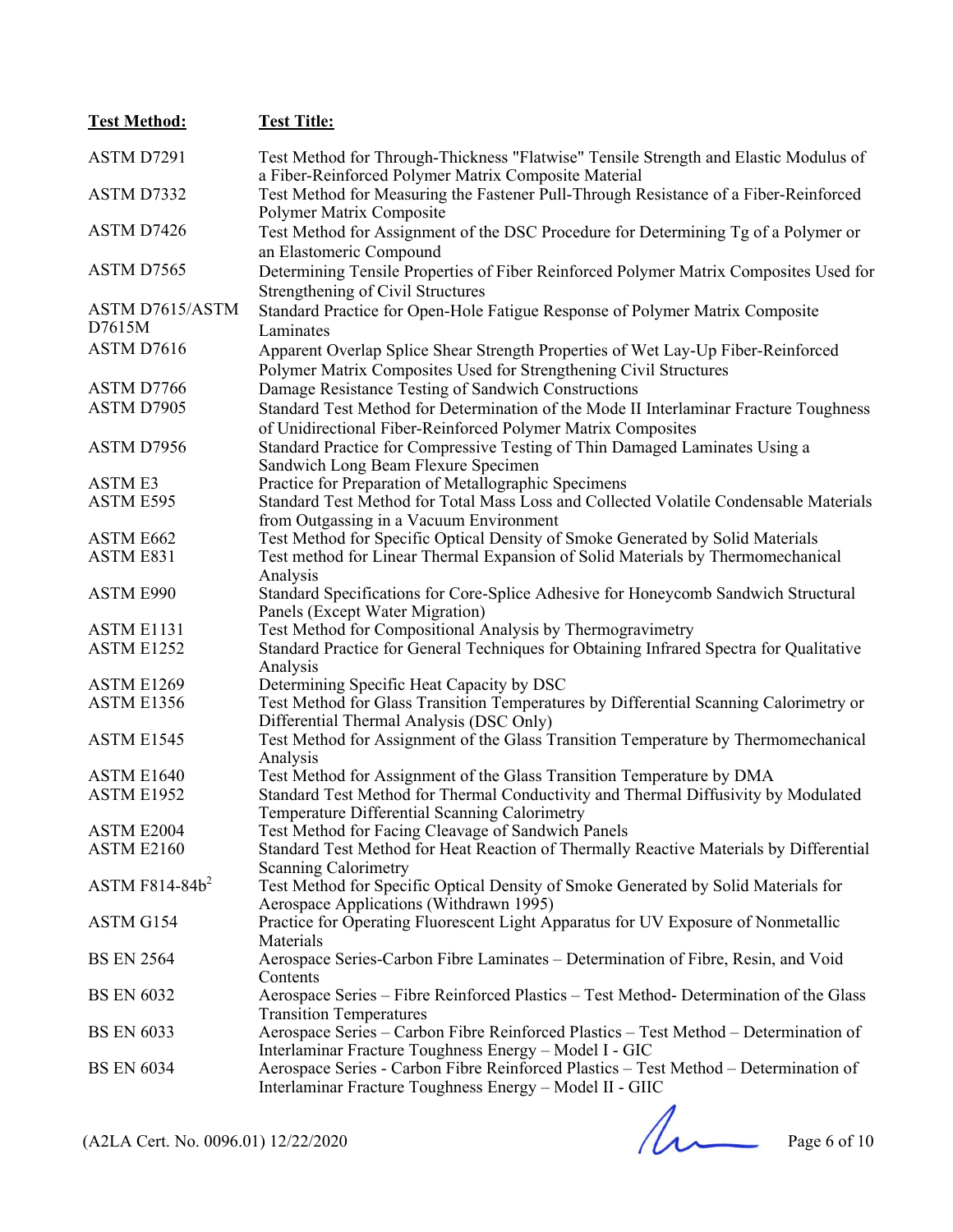| <b>Test Method:</b>                 | <b>Test Title:</b>                                                                                                                                                |
|-------------------------------------|-------------------------------------------------------------------------------------------------------------------------------------------------------------------|
| ASTM D7291                          | Test Method for Through-Thickness "Flatwise" Tensile Strength and Elastic Modulus of                                                                              |
|                                     | a Fiber-Reinforced Polymer Matrix Composite Material                                                                                                              |
| ASTM D7332                          | Test Method for Measuring the Fastener Pull-Through Resistance of a Fiber-Reinforced                                                                              |
|                                     | Polymer Matrix Composite                                                                                                                                          |
| ASTM D7426                          | Test Method for Assignment of the DSC Procedure for Determining Tg of a Polymer or                                                                                |
|                                     | an Elastomeric Compound                                                                                                                                           |
| ASTM D7565                          | Determining Tensile Properties of Fiber Reinforced Polymer Matrix Composites Used for                                                                             |
|                                     | Strengthening of Civil Structures                                                                                                                                 |
| <b>ASTM D7615/ASTM</b>              | Standard Practice for Open-Hole Fatigue Response of Polymer Matrix Composite                                                                                      |
| D7615M                              | Laminates                                                                                                                                                         |
| ASTM D7616                          | Apparent Overlap Splice Shear Strength Properties of Wet Lay-Up Fiber-Reinforced                                                                                  |
|                                     | Polymer Matrix Composites Used for Strengthening Civil Structures                                                                                                 |
| ASTM D7766                          | Damage Resistance Testing of Sandwich Constructions                                                                                                               |
| ASTM D7905                          | Standard Test Method for Determination of the Mode II Interlaminar Fracture Toughness                                                                             |
|                                     | of Unidirectional Fiber-Reinforced Polymer Matrix Composites                                                                                                      |
| ASTM D7956                          | Standard Practice for Compressive Testing of Thin Damaged Laminates Using a                                                                                       |
|                                     | Sandwich Long Beam Flexure Specimen                                                                                                                               |
| <b>ASTME3</b>                       | Practice for Preparation of Metallographic Specimens                                                                                                              |
| ASTM E595                           | Standard Test Method for Total Mass Loss and Collected Volatile Condensable Materials                                                                             |
|                                     | from Outgassing in a Vacuum Environment                                                                                                                           |
| ASTM E662<br>ASTM E831              | Test Method for Specific Optical Density of Smoke Generated by Solid Materials<br>Test method for Linear Thermal Expansion of Solid Materials by Thermomechanical |
|                                     | Analysis                                                                                                                                                          |
| ASTM E990                           | Standard Specifications for Core-Splice Adhesive for Honeycomb Sandwich Structural                                                                                |
|                                     | Panels (Except Water Migration)                                                                                                                                   |
| ASTM E1131                          | Test Method for Compositional Analysis by Thermogravimetry                                                                                                        |
| ASTM E1252                          | Standard Practice for General Techniques for Obtaining Infrared Spectra for Qualitative                                                                           |
|                                     | Analysis                                                                                                                                                          |
| ASTM E1269                          | Determining Specific Heat Capacity by DSC                                                                                                                         |
| ASTM E1356                          | Test Method for Glass Transition Temperatures by Differential Scanning Calorimetry or                                                                             |
|                                     | Differential Thermal Analysis (DSC Only)                                                                                                                          |
| ASTM E1545                          | Test Method for Assignment of the Glass Transition Temperature by Thermomechanical                                                                                |
| ASTM E1640                          | Analysis<br>Test Method for Assignment of the Glass Transition Temperature by DMA                                                                                 |
| ASTM E1952                          | Standard Test Method for Thermal Conductivity and Thermal Diffusivity by Modulated                                                                                |
|                                     | Temperature Differential Scanning Calorimetry                                                                                                                     |
| ASTM E2004                          | Test Method for Facing Cleavage of Sandwich Panels                                                                                                                |
| <b>ASTM E2160</b>                   | Standard Test Method for Heat Reaction of Thermally Reactive Materials by Differential                                                                            |
|                                     | <b>Scanning Calorimetry</b>                                                                                                                                       |
| ASTM $F814-84b^2$                   | Test Method for Specific Optical Density of Smoke Generated by Solid Materials for                                                                                |
|                                     | Aerospace Applications (Withdrawn 1995)                                                                                                                           |
| ASTM G154                           | Practice for Operating Fluorescent Light Apparatus for UV Exposure of Nonmetallic                                                                                 |
|                                     | Materials                                                                                                                                                         |
| <b>BS EN 2564</b>                   | Aerospace Series-Carbon Fibre Laminates - Determination of Fibre, Resin, and Void                                                                                 |
| <b>BS EN 6032</b>                   | Contents<br>Aerospace Series - Fibre Reinforced Plastics - Test Method- Determination of the Glass                                                                |
|                                     | <b>Transition Temperatures</b>                                                                                                                                    |
| <b>BS EN 6033</b>                   | Aerospace Series - Carbon Fibre Reinforced Plastics - Test Method - Determination of                                                                              |
|                                     | Interlaminar Fracture Toughness Energy - Model I - GIC                                                                                                            |
| <b>BS EN 6034</b>                   | Aerospace Series - Carbon Fibre Reinforced Plastics - Test Method - Determination of                                                                              |
|                                     | Interlaminar Fracture Toughness Energy - Model II - GIIC                                                                                                          |
|                                     |                                                                                                                                                                   |
|                                     |                                                                                                                                                                   |
| (A2LA Cert. No. 0096.01) 12/22/2020 | Page 6 of 10                                                                                                                                                      |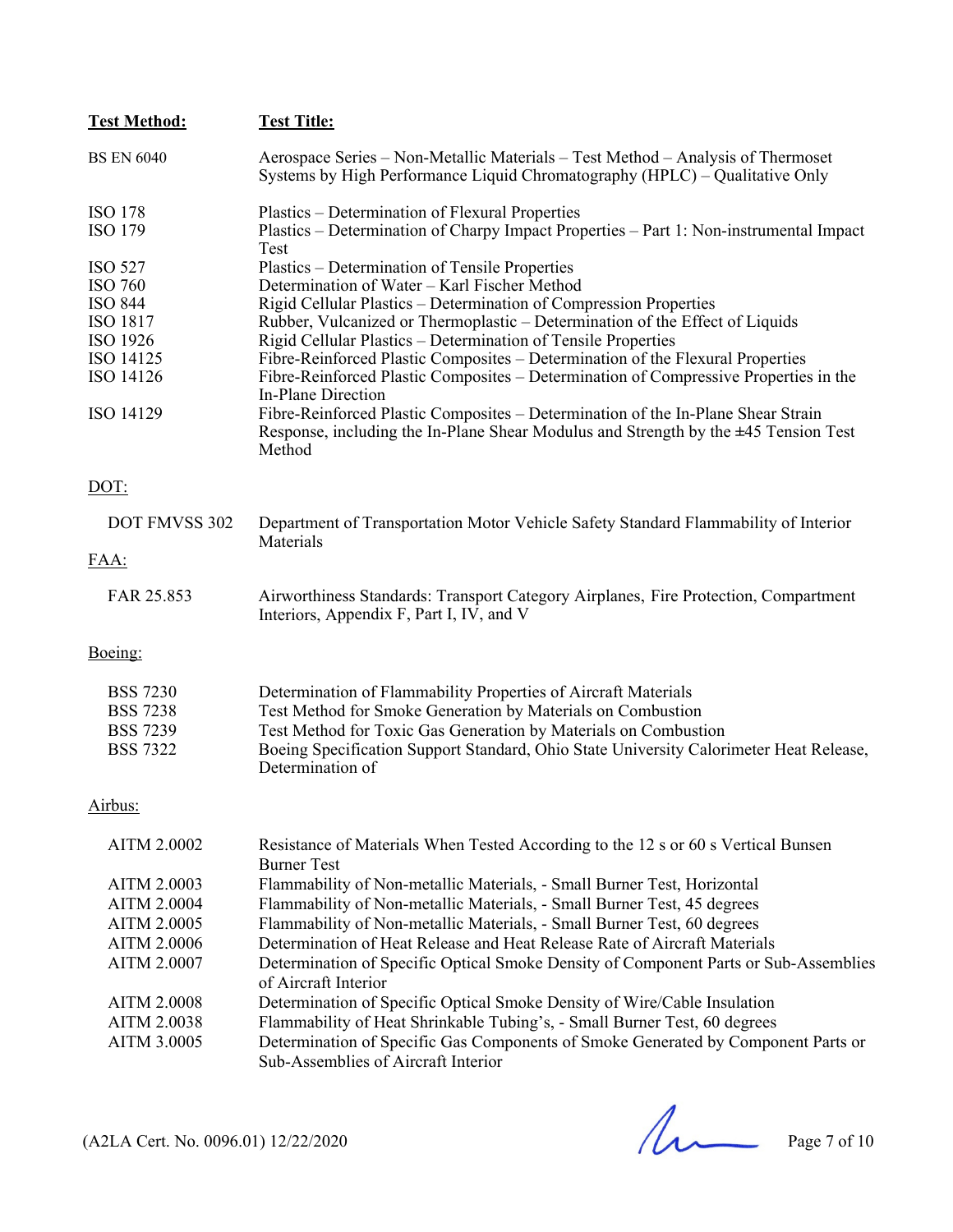| <b>Test Method:</b><br><b>Test Title:</b> |                                                                                                                                                                                        |
|-------------------------------------------|----------------------------------------------------------------------------------------------------------------------------------------------------------------------------------------|
| <b>BS EN 6040</b>                         | Aerospace Series – Non-Metallic Materials – Test Method – Analysis of Thermoset<br>Systems by High Performance Liquid Chromatography (HPLC) – Qualitative Only                         |
| <b>ISO 178</b>                            | Plastics – Determination of Flexural Properties                                                                                                                                        |
| <b>ISO 179</b>                            | Plastics – Determination of Charpy Impact Properties – Part 1: Non-instrumental Impact<br>Test                                                                                         |
| <b>ISO 527</b>                            | Plastics – Determination of Tensile Properties                                                                                                                                         |
| <b>ISO 760</b>                            | Determination of Water - Karl Fischer Method                                                                                                                                           |
| <b>ISO 844</b>                            | Rigid Cellular Plastics – Determination of Compression Properties                                                                                                                      |
| ISO 1817                                  | Rubber, Vulcanized or Thermoplastic - Determination of the Effect of Liquids                                                                                                           |
| ISO 1926                                  | Rigid Cellular Plastics – Determination of Tensile Properties                                                                                                                          |
| ISO 14125                                 | Fibre-Reinforced Plastic Composites - Determination of the Flexural Properties                                                                                                         |
| ISO 14126                                 | Fibre-Reinforced Plastic Composites – Determination of Compressive Properties in the<br>In-Plane Direction                                                                             |
| ISO 14129                                 | Fibre-Reinforced Plastic Composites - Determination of the In-Plane Shear Strain<br>Response, including the In-Plane Shear Modulus and Strength by the $\pm$ 45 Tension Test<br>Method |
| DOT:                                      |                                                                                                                                                                                        |
| DOT FMVSS 302                             | Department of Transportation Motor Vehicle Safety Standard Flammability of Interior<br>Materials                                                                                       |
| FAA:                                      |                                                                                                                                                                                        |
| FAR 25.853                                | Airworthiness Standards: Transport Category Airplanes, Fire Protection, Compartment<br>Interiors, Appendix F, Part I, IV, and V                                                        |
| Boeing:                                   |                                                                                                                                                                                        |
| <b>BSS 7230</b>                           | Determination of Flammability Properties of Aircraft Materials                                                                                                                         |
| <b>BSS 7238</b>                           | Test Method for Smoke Generation by Materials on Combustion                                                                                                                            |
| <b>BSS 7239</b>                           | Test Method for Toxic Gas Generation by Materials on Combustion                                                                                                                        |
| <b>BSS 7322</b>                           | Boeing Specification Support Standard, Ohio State University Calorimeter Heat Release,<br>Determination of                                                                             |
| Airbus:                                   |                                                                                                                                                                                        |
| <b>AITM 2.0002</b>                        | Resistance of Materials When Tested According to the 12 s or 60 s Vertical Bunsen<br><b>Burner Test</b>                                                                                |
| <b>AITM 2.0003</b>                        | Flammability of Non-metallic Materials, - Small Burner Test, Horizontal                                                                                                                |
| <b>AITM 2.0004</b>                        | Flammability of Non-metallic Materials, - Small Burner Test, 45 degrees                                                                                                                |
|                                           |                                                                                                                                                                                        |
| AITM 2.0005                               | Flammability of Non-metallic Materials, - Small Burner Test, 60 degrees                                                                                                                |
| <b>AITM 2.0006</b>                        | Determination of Heat Release and Heat Release Rate of Aircraft Materials                                                                                                              |
| AITM 2.0007                               | Determination of Specific Optical Smoke Density of Component Parts or Sub-Assemblies<br>of Aircraft Interior                                                                           |
| <b>AITM 2.0008</b>                        | Determination of Specific Optical Smoke Density of Wire/Cable Insulation                                                                                                               |
| <b>AITM 2.0038</b>                        | Flammability of Heat Shrinkable Tubing's, - Small Burner Test, 60 degrees                                                                                                              |
| AITM 3.0005                               | Determination of Specific Gas Components of Smoke Generated by Component Parts or<br>Sub-Assemblies of Aircraft Interior                                                               |
|                                           |                                                                                                                                                                                        |

 $(A2LA$  Cert. No. 0096.01) 12/22/2020 Page 7 of 10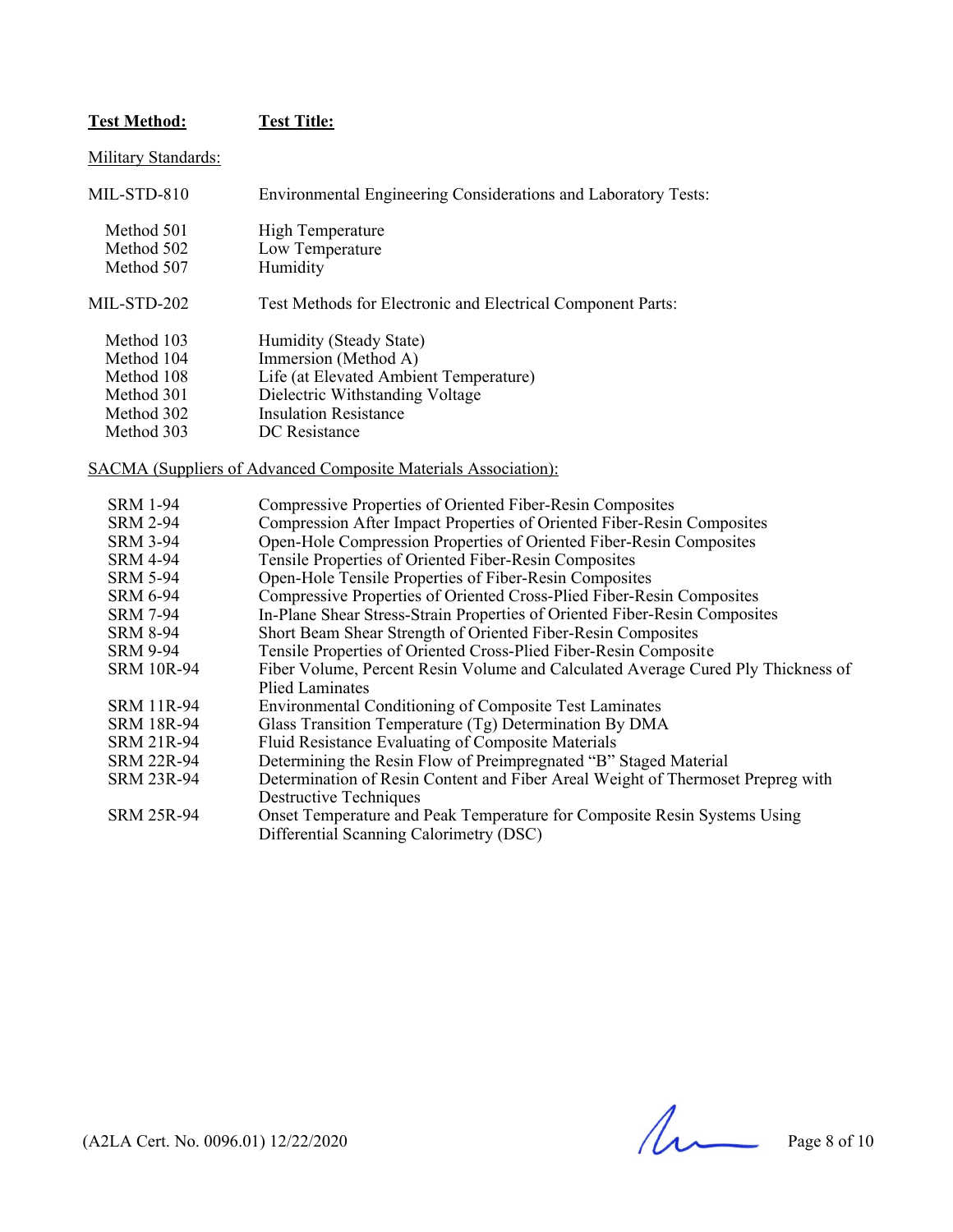#### **Test Method: Test Title:**

Military Standards:

| MIL-STD-810 | Environmental Engineering Considerations and Laboratory Tests: |
|-------------|----------------------------------------------------------------|
| Method 501  | High Temperature                                               |
| Method 502  | Low Temperature                                                |
| Method 507  | Humidity                                                       |
| MIL-STD-202 | Test Methods for Electronic and Electrical Component Parts:    |
| Method 103  | Humidity (Steady State)                                        |
| Method 104  | Immersion (Method A)                                           |
| Method 108  | Life (at Elevated Ambient Temperature)                         |
| Method 301  | Dielectric Withstanding Voltage                                |
| Method 302  | <b>Insulation Resistance</b>                                   |
| Method 303  | DC Resistance                                                  |

SACMA (Suppliers of Advanced Composite Materials Association):

| <b>SRM 1-94</b>   | Compressive Properties of Oriented Fiber-Resin Composites                        |
|-------------------|----------------------------------------------------------------------------------|
| <b>SRM 2-94</b>   | Compression After Impact Properties of Oriented Fiber-Resin Composites           |
| <b>SRM 3-94</b>   | Open-Hole Compression Properties of Oriented Fiber-Resin Composites              |
| <b>SRM 4-94</b>   | Tensile Properties of Oriented Fiber-Resin Composites                            |
| <b>SRM 5-94</b>   | Open-Hole Tensile Properties of Fiber-Resin Composites                           |
| <b>SRM 6-94</b>   | Compressive Properties of Oriented Cross-Plied Fiber-Resin Composites            |
| <b>SRM 7-94</b>   | In-Plane Shear Stress-Strain Properties of Oriented Fiber-Resin Composites       |
| <b>SRM 8-94</b>   | Short Beam Shear Strength of Oriented Fiber-Resin Composites                     |
| <b>SRM 9-94</b>   | Tensile Properties of Oriented Cross-Plied Fiber-Resin Composite                 |
| <b>SRM 10R-94</b> | Fiber Volume, Percent Resin Volume and Calculated Average Cured Ply Thickness of |
|                   | Plied Laminates                                                                  |
| <b>SRM 11R-94</b> | Environmental Conditioning of Composite Test Laminates                           |
| <b>SRM 18R-94</b> | Glass Transition Temperature (Tg) Determination By DMA                           |
| <b>SRM 21R-94</b> | Fluid Resistance Evaluating of Composite Materials                               |
| <b>SRM 22R-94</b> | Determining the Resin Flow of Preimpregnated "B" Staged Material                 |
| SRM 23R-94        | Determination of Resin Content and Fiber Areal Weight of Thermoset Prepreg with  |
|                   | <b>Destructive Techniques</b>                                                    |
| <b>SRM 25R-94</b> | Onset Temperature and Peak Temperature for Composite Resin Systems Using         |
|                   | Differential Scanning Calorimetry (DSC)                                          |
|                   |                                                                                  |

 $(A2LA$  Cert. No. 0096.01) 12/22/2020 Page 8 of 10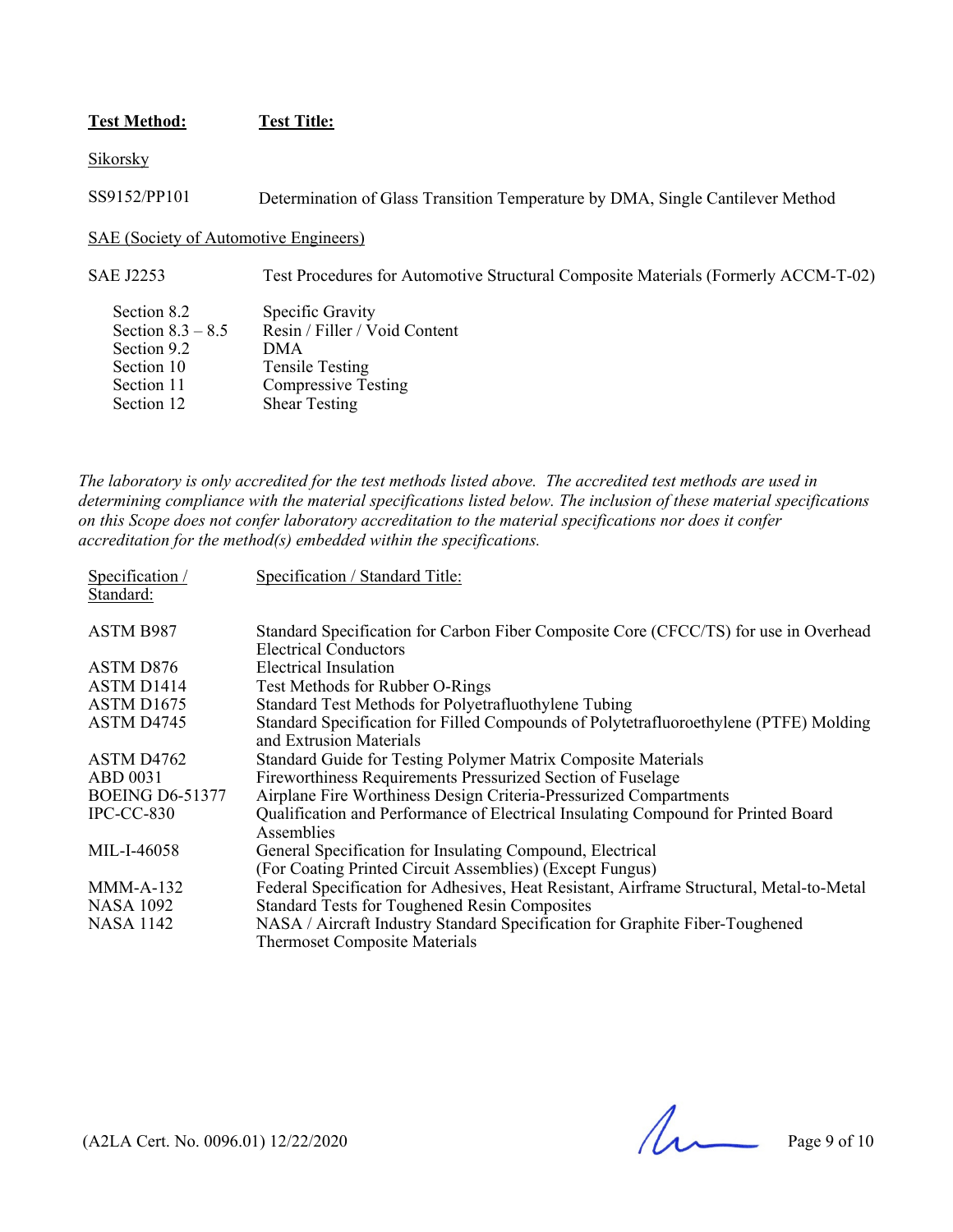#### **Test Method: Test Title:**

Sikorsky

SS9152/PP101 Determination of Glass Transition Temperature by DMA, Single Cantilever Method

SAE (Society of Automotive Engineers)

SAE J2253 Test Procedures for Automotive Structural Composite Materials (Formerly ACCM-T-02)

| Section 8.2         | Specific Gravity              |
|---------------------|-------------------------------|
| Section $8.3 - 8.5$ | Resin / Filler / Void Content |
| Section 9.2         | <b>DMA</b>                    |
| Section 10          | <b>Tensile Testing</b>        |
| Section 11          | <b>Compressive Testing</b>    |
| Section 12          | <b>Shear Testing</b>          |
|                     |                               |

*The laboratory is only accredited for the test methods listed above. The accredited test methods are used in determining compliance with the material specifications listed below. The inclusion of these material specifications on this Scope does not confer laboratory accreditation to the material specifications nor does it confer accreditation for the method(s) embedded within the specifications.* 

| Specification /<br>Standard: | Specification / Standard Title:                                                                                      |
|------------------------------|----------------------------------------------------------------------------------------------------------------------|
| ASTM B987                    | Standard Specification for Carbon Fiber Composite Core (CFCC/TS) for use in Overhead<br><b>Electrical Conductors</b> |
| ASTM D876                    | Electrical Insulation                                                                                                |
| ASTM D <sub>1414</sub>       | Test Methods for Rubber O-Rings                                                                                      |
| ASTM D1675                   | Standard Test Methods for Polyetrafluothylene Tubing                                                                 |
| ASTM D4745                   | Standard Specification for Filled Compounds of Polytetrafluoroethylene (PTFE) Molding<br>and Extrusion Materials     |
| ASTM D <sub>4762</sub>       | Standard Guide for Testing Polymer Matrix Composite Materials                                                        |
| ABD 0031                     | Fireworthiness Requirements Pressurized Section of Fuselage                                                          |
| <b>BOEING D6-51377</b>       | Airplane Fire Worthiness Design Criteria-Pressurized Compartments                                                    |
| $IPC-CC-830$                 | Qualification and Performance of Electrical Insulating Compound for Printed Board<br>Assemblies                      |
| MIL-I-46058                  | General Specification for Insulating Compound, Electrical                                                            |
|                              | (For Coating Printed Circuit Assemblies) (Except Fungus)                                                             |
| $MMM-A-132$                  | Federal Specification for Adhesives, Heat Resistant, Airframe Structural, Metal-to-Metal                             |
| <b>NASA 1092</b>             | <b>Standard Tests for Toughened Resin Composites</b>                                                                 |
| <b>NASA 1142</b>             | NASA / Aircraft Industry Standard Specification for Graphite Fiber-Toughened                                         |
|                              | <b>Thermoset Composite Materials</b>                                                                                 |

 $($ A2LA Cert. No. 0096.01) 12/22/2020 Page 9 of 10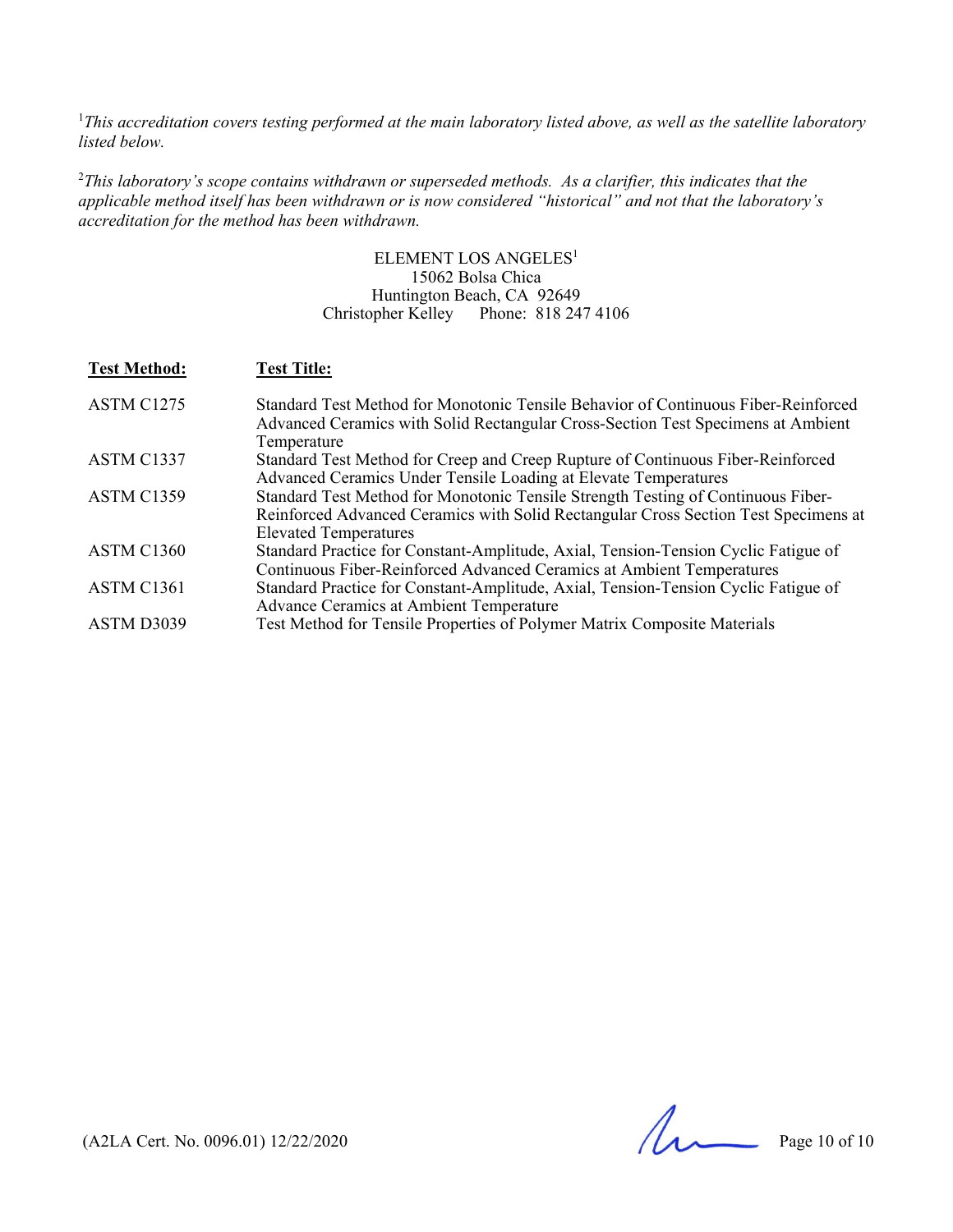<sup>1</sup>This accreditation covers testing performed at the main laboratory listed above, as well as the satellite laboratory *listed below.* 

2 *This laboratory's scope contains withdrawn or superseded methods. As a clarifier, this indicates that the applicable method itself has been withdrawn or is now considered "historical" and not that the laboratory's accreditation for the method has been withdrawn.* 

> ELEMENT LOS ANGELES<sup>1</sup> 15062 Bolsa Chica Huntington Beach, CA 92649 Christopher Kelley Phone: 818 247 4106

| <b>Test Method:</b> | <b>Test Title:</b>                                                                                                                                                                                      |
|---------------------|---------------------------------------------------------------------------------------------------------------------------------------------------------------------------------------------------------|
| ASTM C1275          | Standard Test Method for Monotonic Tensile Behavior of Continuous Fiber-Reinforced<br>Advanced Ceramics with Solid Rectangular Cross-Section Test Specimens at Ambient<br>Temperature                   |
| ASTM C1337          | Standard Test Method for Creep and Creep Rupture of Continuous Fiber-Reinforced<br>Advanced Ceramics Under Tensile Loading at Elevate Temperatures                                                      |
| ASTM C1359          | Standard Test Method for Monotonic Tensile Strength Testing of Continuous Fiber-<br>Reinforced Advanced Ceramics with Solid Rectangular Cross Section Test Specimens at<br><b>Elevated Temperatures</b> |
| ASTM C1360          | Standard Practice for Constant-Amplitude, Axial, Tension-Tension Cyclic Fatigue of<br>Continuous Fiber-Reinforced Advanced Ceramics at Ambient Temperatures                                             |
| ASTM C1361          | Standard Practice for Constant-Amplitude, Axial, Tension-Tension Cyclic Fatigue of<br>Advance Ceramics at Ambient Temperature                                                                           |
| ASTM D3039          | Test Method for Tensile Properties of Polymer Matrix Composite Materials                                                                                                                                |

 $($ A2LA Cert. No. 0096.01) 12/22/2020 Page 10 of 10